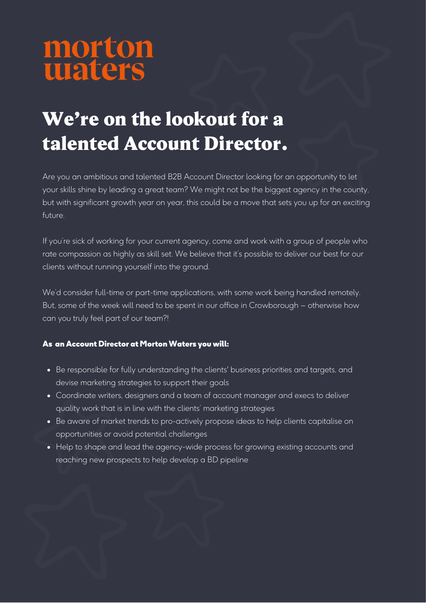# morton<br>waters

## We're on the lookout for a talented Account Director.

Are you an ambitious and talented B2B Account Director looking for an opportunity to let your skills shine by leading a great team? We might not be the biggest agency in the county, but with significant growth year on year, this could be a move that sets you up for an exciting future.

If you're sick of working for your current agency, come and work with a group of people who rate compassion as highly as skill set. We believe that it's possible to deliver our best for our clients without running yourself into the ground.

We'd consider full-time or part-time applications, with some work being handled remotely. But, some of the week will need to be spent in our office in Crowborough – otherwise how can you truly feel part of our team?!

### As an Account Director at Morton Waters you will:

- Be responsible for fully understanding the clients' business priorities and targets, and devise marketing strategies to support their goals
- Coordinate writers, designers and a team of account manager and execs to deliver quality work that is in line with the clients' marketing strategies
- Be aware of market trends to pro-actively propose ideas to help clients capitalise on opportunities or avoid potential challenges
- Help to shape and lead the agency-wide process for growing existing accounts and reaching new prospects to help develop a BD pipeline